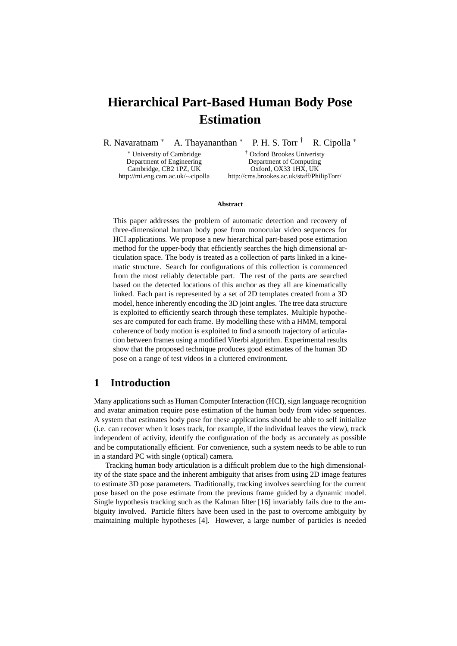# **Hierarchical Part-Based Human Body Pose Estimation**

R. Navaratnam \* A. Thayananthan \* P. H. S. Torr  $\dagger$  R. Cipolla \*

<sup>∗</sup> University of Cambridge † Oxford Brookes Univeristy Department of Engineering Department of Computing Cambridge, CB2 1PZ, UK Oxford, OX33 1HX, UK http://mi.eng.cam.ac.uk/∼cipolla http://cms.brookes.ac.uk/staff/PhilipTorr/

#### **Abstract**

This paper addresses the problem of automatic detection and recovery of three-dimensional human body pose from monocular video sequences for HCI applications. We propose a new hierarchical part-based pose estimation method for the upper-body that efficiently searches the high dimensional articulation space. The body is treated as a collection of parts linked in a kinematic structure. Search for configurations of this collection is commenced from the most reliably detectable part. The rest of the parts are searched based on the detected locations of this anchor as they all are kinematically linked. Each part is represented by a set of 2D templates created from a 3D model, hence inherently encoding the 3D joint angles. The tree data structure is exploited to efficiently search through these templates. Multiple hypotheses are computed for each frame. By modelling these with a HMM, temporal coherence of body motion is exploited to find a smooth trajectory of articulation between frames using a modified Viterbi algorithm. Experimental results show that the proposed technique produces good estimates of the human 3D pose on a range of test videos in a cluttered environment.

### **1 Introduction**

Many applications such as Human Computer Interaction (HCI), sign language recognition and avatar animation require pose estimation of the human body from video sequences. A system that estimates body pose for these applications should be able to self initialize (i.e. can recover when it loses track, for example, if the individual leaves the view), track independent of activity, identify the configuration of the body as accurately as possible and be computationally efficient. For convenience, such a system needs to be able to run in a standard PC with single (optical) camera.

Tracking human body articulation is a difficult problem due to the high dimensionality of the state space and the inherent ambiguity that arises from using 2D image features to estimate 3D pose parameters. Traditionally, tracking involves searching for the current pose based on the pose estimate from the previous frame guided by a dynamic model. Single hypothesis tracking such as the Kalman filter [16] invariably fails due to the ambiguity involved. Particle filters have been used in the past to overcome ambiguity by maintaining multiple hypotheses [4]. However, a large number of particles is needed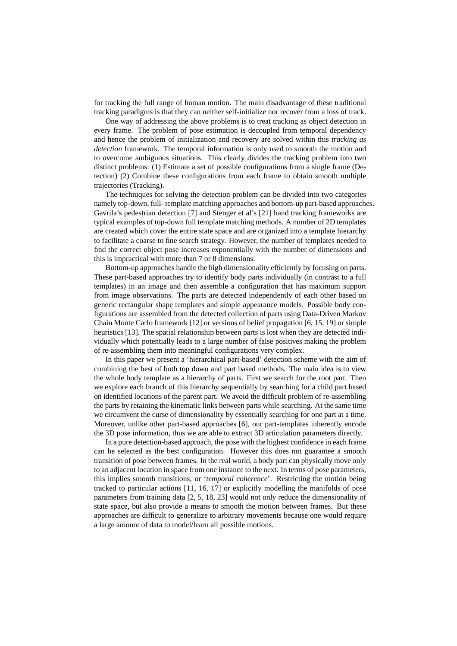for tracking the full range of human motion. The main disadvantage of these traditional tracking paradigms is that they can neither self-initialize nor recover from a loss of track.

One way of addressing the above problems is to treat tracking as object detection in every frame. The problem of pose estimation is decoupled from temporal dependency and hence the problem of initialization and recovery are solved within this *tracking as detection* framework. The temporal information is only used to smooth the motion and to overcome ambiguous situations. This clearly divides the tracking problem into two distinct problems: (1) Estimate a set of possible configurations from a single frame (Detection) (2) Combine these configurations from each frame to obtain smooth multiple trajectories (Tracking).

The techniques for solving the detection problem can be divided into two categories namely top-down, full- template matching approaches and bottom-up part-based approaches. Gavrila's pedestrian detection [7] and Stenger et al's [21] hand tracking frameworks are typical examples of top-down full template matching methods. A number of 2D templates are created which cover the entire state space and are organized into a template hierarchy to facilitate a coarse to fine search strategy. However, the number of templates needed to find the correct object pose increases exponentially with the number of dimensions and this is impractical with more than 7 or 8 dimensions.

Bottom-up approaches handle the high dimensionality efficiently by focusing on parts. These part-based approaches try to identify body parts individually (in contrast to a full templates) in an image and then assemble a configuration that has maximum support from image observations. The parts are detected independently of each other based on generic rectangular shape templates and simple appearance models. Possible body configurations are assembled from the detected collection of parts using Data-Driven Markov Chain Monte Carlo framework [12] or versions of belief propagation [6, 15, 19] or simple heuristics [13]. The spatial relationship between parts is lost when they are detected individually which potentially leads to a large number of false positives making the problem of re-assembling them into meaningful configurations very complex.

In this paper we present a 'hierarchical part-based' detection scheme with the aim of combining the best of both top down and part based methods. The main idea is to view the whole body template as a hierarchy of parts. First we search for the root part. Then we explore each branch of this hierarchy sequentially by searching for a child part based on identified locations of the parent part. We avoid the difficult problem of re-assembling the parts by retaining the kinematic links between parts while searching. At the same time we circumvent the curse of dimensionality by essentially searching for one part at a time. Moreover, unlike other part-based approaches [6], our part-templates inherently encode the 3D pose information, thus we are able to extract 3D articulation parameters directly.

In a pure detection-based approach, the pose with the highest confidence in each frame can be selected as the best configuration. However this does not guarantee a smooth transition of pose between frames. In the real world, a body part can physically move only to an adjacent location in space from one instance to the next. In terms of pose parameters, this implies smooth transitions, or '*temporal coherence*'. Restricting the motion being tracked to particular actions [11, 16, 17] or explicitly modelling the manifolds of pose parameters from training data [2, 5, 18, 23] would not only reduce the dimensionality of state space, but also provide a means to smooth the motion between frames. But these approaches are difficult to generalize to arbitrary movements because one would require a large amount of data to model/learn all possible motions.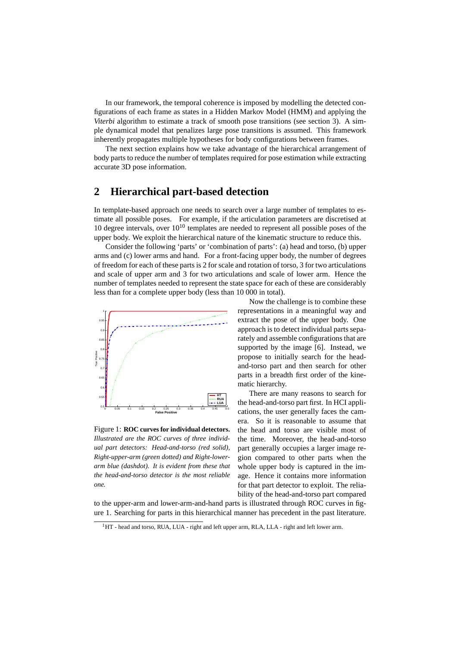In our framework, the temporal coherence is imposed by modelling the detected configurations of each frame as states in a Hidden Markov Model (HMM) and applying the *Viterbi* algorithm to estimate a track of smooth pose transitions (see section 3). A simple dynamical model that penalizes large pose transitions is assumed. This framework inherently propagates multiple hypotheses for body configurations between frames.

The next section explains how we take advantage of the hierarchical arrangement of body parts to reduce the number of templates required for pose estimation while extracting accurate 3D pose information.

# **2 Hierarchical part-based detection**

In template-based approach one needs to search over a large number of templates to estimate all possible poses. For example, if the articulation parameters are discretised at 10 degree intervals, over  $10^{10}$  templates are needed to represent all possible poses of the upper body. We exploit the hierarchical nature of the kinematic structure to reduce this.

Consider the following 'parts' or 'combination of parts': (a) head and torso, (b) upper arms and (c) lower arms and hand. For a front-facing upper body, the number of degrees of freedom for each of these parts is 2 for scale and rotation of torso, 3 for two articulations and scale of upper arm and 3 for two articulations and scale of lower arm. Hence the number of templates needed to represent the state space for each of these are considerably less than for a complete upper body (less than 10 000 in total).



Figure 1: **ROC curves for individual detectors.** *Illustrated are the ROC curves of three individual part detectors: Head-and-torso (red solid), Right-upper-arm (green dotted) and Right-lowerarm blue (dashdot). It is evident from these that the head-and-torso detector is the most reliable one.*

Now the challenge is to combine these representations in a meaningful way and extract the pose of the upper body. One approach is to detect individual parts separately and assemble configurations that are supported by the image [6]. Instead, we propose to initially search for the headand-torso part and then search for other parts in a breadth first order of the kinematic hierarchy.

There are many reasons to search for the head-and-torso part first. In HCI applications, the user generally faces the camera. So it is reasonable to assume that the head and torso are visible most of the time. Moreover, the head-and-torso part generally occupies a larger image region compared to other parts when the whole upper body is captured in the image. Hence it contains more information for that part detector to exploit. The reliability of the head-and-torso part compared

to the upper-arm and lower-arm-and-hand parts is illustrated through ROC curves in figure 1. Searching for parts in this hierarchical manner has precedent in the past literature.

<sup>&</sup>lt;sup>1</sup>HT - head and torso, RUA, LUA - right and left upper arm, RLA, LLA - right and left lower arm.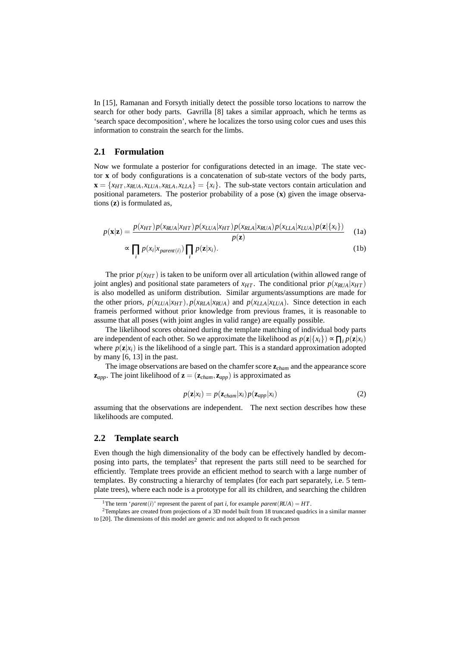In [15], Ramanan and Forsyth initially detect the possible torso locations to narrow the search for other body parts. Gavrilla [8] takes a similar approach, which he terms as 'search space decomposition', where he localizes the torso using color cues and uses this information to constrain the search for the limbs.

#### **2.1 Formulation**

Now we formulate a posterior for configurations detected in an image. The state vector **x** of body configurations is a concatenation of sub-state vectors of the body parts,  $\mathbf{x} = \{x_{HT}, x_{RUA}, x_{LUA}, x_{RLA}, x_{LLA}\} = \{x_i\}$ . The sub-state vectors contain articulation and positional parameters. The posterior probability of a pose (**x**) given the image observations (**z**) is formulated as,

$$
p(\mathbf{x}|\mathbf{z}) = \frac{p(x_{HT})p(x_{RUA}|x_{HT})p(x_{LUA}|x_{HT})p(x_{RLA}|x_{RUA})p(x_{LLA}|x_{LUA})p(\mathbf{z}|\{x_i\})}{p(\mathbf{z})}
$$
 (1a)

$$
\sim \prod_i p(x_i | x_{parent(i)}) \prod_i p(\mathbf{z} | x_i). \tag{1b}
$$

The prior  $p(x_{HT})$  is taken to be uniform over all articulation (within allowed range of joint angles) and positional state parameters of  $x_{HT}$ . The conditional prior  $p(x_{RUA}|x_{HT})$ is also modelled as uniform distribution. Similar arguments/assumptions are made for the other priors,  $p(x_{LUA}|x_{HT})$ ,  $p(x_{RLA}|x_{RUA})$  and  $p(x_{LLA}|x_{LUA})$ . Since detection in each frameis performed without prior knowledge from previous frames, it is reasonable to assume that all poses (with joint angles in valid range) are equally possible.

The likelihood scores obtained during the template matching of individual body parts are independent of each other. So we approximate the likelihood as  $p(\mathbf{z}|\{x_i\}) \propto \prod_i p(\mathbf{z}|x_i)$ where  $p(\mathbf{z}|x_i)$  is the likelihood of a single part. This is a standard approximation adopted by many [6, 13] in the past.

The image observations are based on the chamfer score **z***cham* and the appearance score  $\mathbf{z}_{app}$ . The joint likelihood of  $\mathbf{z} = (\mathbf{z}_{cham}, \mathbf{z}_{app})$  is approximated as

$$
p(\mathbf{z}|x_i) = p(\mathbf{z}_{cham}|x_i) p(\mathbf{z}_{app}|x_i)
$$
 (2)

assuming that the observations are independent. The next section describes how these likelihoods are computed.

#### **2.2 Template search**

Even though the high dimensionality of the body can be effectively handled by decomposing into parts, the templates<sup>2</sup> that represent the parts still need to be searched for efficiently. Template trees provide an efficient method to search with a large number of templates. By constructing a hierarchy of templates (for each part separately, i.e. 5 template trees), where each node is a prototype for all its children, and searching the children

<sup>&</sup>lt;sup>1</sup>The term '*parent*(*i*)' represent the parent of part *i*, for example *parent*(*RUA*) = *HT*.

<sup>&</sup>lt;sup>2</sup>Templates are created from projections of a 3D model built from 18 truncated quadrics in a similar manner to [20]. The dimensions of this model are generic and not adopted to fit each person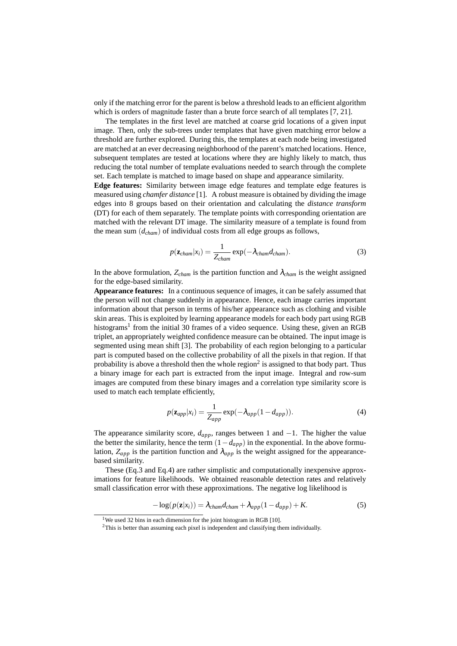only if the matching error for the parent is below a threshold leads to an efficient algorithm which is orders of magnitude faster than a brute force search of all templates [7, 21].

The templates in the first level are matched at coarse grid locations of a given input image. Then, only the sub-trees under templates that have given matching error below a threshold are further explored. During this, the templates at each node being investigated are matched at an ever decreasing neighborhood of the parent's matched locations. Hence, subsequent templates are tested at locations where they are highly likely to match, thus reducing the total number of template evaluations needed to search through the complete set. Each template is matched to image based on shape and appearance similarity.

**Edge features:** Similarity between image edge features and template edge features is measured using *chamfer distance* [1]. A robust measure is obtained by dividing the image edges into 8 groups based on their orientation and calculating the *distance transform* (DT) for each of them separately. The template points with corresponding orientation are matched with the relevant DT image. The similarity measure of a template is found from the mean sum (*dcham*) of individual costs from all edge groups as follows,

$$
p(\mathbf{z}_{cham}|x_i) = \frac{1}{Z_{cham}} \exp(-\lambda_{cham} d_{cham}).
$$
\n(3)

In the above formulation,  $Z_{\text{cham}}$  is the partition function and  $\lambda_{\text{cham}}$  is the weight assigned for the edge-based similarity.

**Appearance features:** In a continuous sequence of images, it can be safely assumed that the person will not change suddenly in appearance. Hence, each image carries important information about that person in terms of his/her appearance such as clothing and visible skin areas. This is exploited by learning appearance models for each body part using RGB histograms<sup>1</sup> from the initial 30 frames of a video sequence. Using these, given an RGB triplet, an appropriately weighted confidence measure can be obtained. The input image is segmented using mean shift [3]. The probability of each region belonging to a particular part is computed based on the collective probability of all the pixels in that region. If that probability is above a threshold then the whole region<sup>2</sup> is assigned to that body part. Thus a binary image for each part is extracted from the input image. Integral and row-sum images are computed from these binary images and a correlation type similarity score is used to match each template efficiently,

$$
p(\mathbf{z}_{app}|x_i) = \frac{1}{Z_{app}} \exp(-\lambda_{app}(1 - d_{app})).
$$
 (4)

The appearance similarity score,  $d_{app}$ , ranges between 1 and  $-1$ . The higher the value the better the similarity, hence the term  $(1-d_{app})$  in the exponential. In the above formulation,  $Z_{app}$  is the partition function and  $\lambda_{app}$  is the weight assigned for the appearancebased similarity.

These (Eq.3 and Eq.4) are rather simplistic and computationally inexpensive approximations for feature likelihoods. We obtained reasonable detection rates and relatively small classification error with these approximations. The negative log likelihood is

$$
-\log(p(\mathbf{z}|x_i)) = \lambda_{\text{cham}} d_{\text{cham}} + \lambda_{\text{app}} (1 - d_{\text{app}}) + K. \tag{5}
$$

<sup>&</sup>lt;sup>1</sup>We used 32 bins in each dimension for the joint histogram in RGB [10].

<sup>&</sup>lt;sup>2</sup>This is better than assuming each pixel is independent and classifying them individually.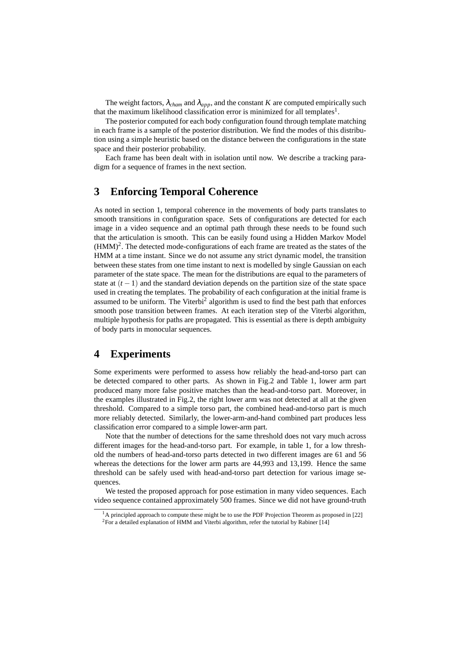The weight factors,  $\lambda_{chem}$  and  $\lambda_{app}$ , and the constant K are computed empirically such that the maximum likelihood classification error is minimized for all templates<sup>1</sup>.

The posterior computed for each body configuration found through template matching in each frame is a sample of the posterior distribution. We find the modes of this distribution using a simple heuristic based on the distance between the configurations in the state space and their posterior probability.

Each frame has been dealt with in isolation until now. We describe a tracking paradigm for a sequence of frames in the next section.

# **3 Enforcing Temporal Coherence**

As noted in section 1, temporal coherence in the movements of body parts translates to smooth transitions in configuration space. Sets of configurations are detected for each image in a video sequence and an optimal path through these needs to be found such that the articulation is smooth. This can be easily found using a Hidden Markov Model  $(HMM)^2$ . The detected mode-configurations of each frame are treated as the states of the HMM at a time instant. Since we do not assume any strict dynamic model, the transition between these states from one time instant to next is modelled by single Gaussian on each parameter of the state space. The mean for the distributions are equal to the parameters of state at  $(t-1)$  and the standard deviation depends on the partition size of the state space used in creating the templates. The probability of each configuration at the initial frame is assumed to be uniform. The Viterbi<sup>2</sup> algorithm is used to find the best path that enforces smooth pose transition between frames. At each iteration step of the Viterbi algorithm, multiple hypothesis for paths are propagated. This is essential as there is depth ambiguity of body parts in monocular sequences.

# **4 Experiments**

Some experiments were performed to assess how reliably the head-and-torso part can be detected compared to other parts. As shown in Fig.2 and Table 1, lower arm part produced many more false positive matches than the head-and-torso part. Moreover, in the examples illustrated in Fig.2, the right lower arm was not detected at all at the given threshold. Compared to a simple torso part, the combined head-and-torso part is much more reliably detected. Similarly, the lower-arm-and-hand combined part produces less classification error compared to a simple lower-arm part.

Note that the number of detections for the same threshold does not vary much across different images for the head-and-torso part. For example, in table 1, for a low threshold the numbers of head-and-torso parts detected in two different images are 61 and 56 whereas the detections for the lower arm parts are 44,993 and 13,199. Hence the same threshold can be safely used with head-and-torso part detection for various image sequences.

We tested the proposed approach for pose estimation in many video sequences. Each video sequence contained approximately 500 frames. Since we did not have ground-truth

<sup>&</sup>lt;sup>1</sup>A principled approach to compute these might be to use the PDF Projection Theorem as proposed in [22] <sup>2</sup>For a detailed explanation of HMM and Viterbi algorithm, refer the tutorial by Rabiner [14]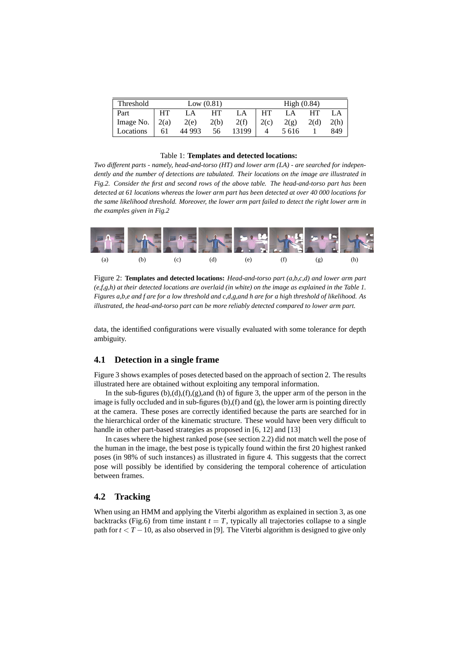| Threshold | Low $(0.81)$ |        |      |       | High $(0.84)$ |         |      |      |
|-----------|--------------|--------|------|-------|---------------|---------|------|------|
| Part      | <b>HT</b>    | LA     | HТ   | LA    | <b>HT</b>     | LA      | HТ   | LA   |
| Image No. | 2(a)         | 2(e)   | 2(b) | 2(f)  | 2(c)          | 2(g)    | 2(d) | 2(h) |
| Locations | 61           | 44 993 | 56   | 13199 |               | 5 6 1 6 |      | 849  |

#### Table 1: **Templates and detected locations:**

*Two different parts - namely, head-and-torso (HT) and lower arm (LA) - are searched for independently and the number of detections are tabulated. Their locations on the image are illustrated in Fig.2. Consider the first and second rows of the above table. The head-and-torso part has been detected at 61 locations whereas the lower arm part has been detected at over 40 000 locations for the same likelihood threshold. Moreover, the lower arm part failed to detect the right lower arm in the examples given in Fig.2*



Figure 2: **Templates and detected locations:** *Head-and-torso part (a,b,c,d) and lower arm part (e,f,g,h) at their detected locations are overlaid (in white) on the image as explained in the Table 1. Figures a,b,e and f are for a low threshold and c,d,g,and h are for a high threshold of likelihood. As illustrated, the head-and-torso part can be more reliably detected compared to lower arm part.*

data, the identified configurations were visually evaluated with some tolerance for depth ambiguity.

#### **4.1 Detection in a single frame**

Figure 3 shows examples of poses detected based on the approach of section 2. The results illustrated here are obtained without exploiting any temporal information.

In the sub-figures  $(b)$ , $(d)$ , $(f)$ , $(g)$ ,and  $(h)$  of figure 3, the upper arm of the person in the image is fully occluded and in sub-figures  $(b)$ ,  $(f)$  and  $(g)$ , the lower arm is pointing directly at the camera. These poses are correctly identified because the parts are searched for in the hierarchical order of the kinematic structure. These would have been very difficult to handle in other part-based strategies as proposed in [6, 12] and [13]

In cases where the highest ranked pose (see section 2.2) did not match well the pose of the human in the image, the best pose is typically found within the first 20 highest ranked poses (in 98% of such instances) as illustrated in figure 4. This suggests that the correct pose will possibly be identified by considering the temporal coherence of articulation between frames.

#### **4.2 Tracking**

When using an HMM and applying the Viterbi algorithm as explained in section 3, as one backtracks (Fig.6) from time instant  $t = T$ , typically all trajectories collapse to a single path for *t* < *T* −10, as also observed in [9]. The Viterbi algorithm is designed to give only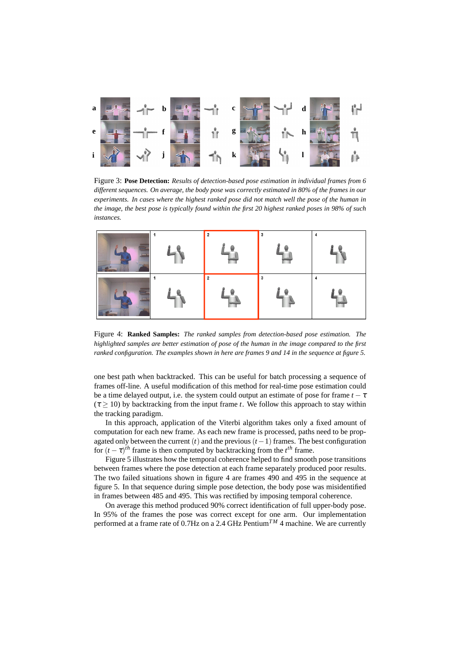

Figure 3: **Pose Detection:** *Results of detection-based pose estimation in individual frames from 6 different sequences. On average, the body pose was correctly estimated in 80% of the frames in our experiments. In cases where the highest ranked pose did not match well the pose of the human in the image, the best pose is typically found within the first 20 highest ranked poses in 98% of such instances.*



Figure 4: **Ranked Samples:** *The ranked samples from detection-based pose estimation. The highlighted samples are better estimation of pose of the human in the image compared to the first ranked configuration. The examples shown in here are frames 9 and 14 in the sequence at figure 5.*

one best path when backtracked. This can be useful for batch processing a sequence of frames off-line. A useful modification of this method for real-time pose estimation could be a time delayed output, i.e. the system could output an estimate of pose for frame  $t - \tau$  $(\tau \geq 10)$  by backtracking from the input frame *t*. We follow this approach to stay within the tracking paradigm.

In this approach, application of the Viterbi algorithm takes only a fixed amount of computation for each new frame. As each new frame is processed, paths need to be propagated only between the current  $(t)$  and the previous  $(t-1)$  frames. The best configuration for  $(t - \tau)$ <sup>th</sup> frame is then computed by backtracking from the  $t^{th}$  frame.

Figure 5 illustrates how the temporal coherence helped to find smooth pose transitions between frames where the pose detection at each frame separately produced poor results. The two failed situations shown in figure 4 are frames 490 and 495 in the sequence at figure 5. In that sequence during simple pose detection, the body pose was misidentified in frames between 485 and 495. This was rectified by imposing temporal coherence.

On average this method produced 90% correct identification of full upper-body pose. In 95% of the frames the pose was correct except for one arm. Our implementation performed at a frame rate of  $0.7$ Hz on a 2.4 GHz Pentium<sup>TM</sup> 4 machine. We are currently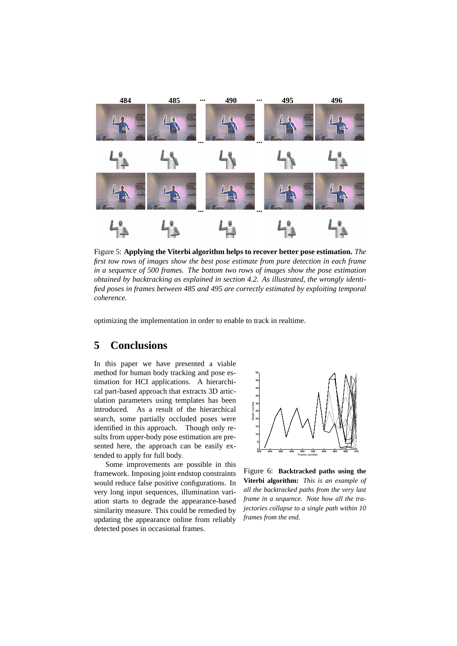

Figure 5: **Applying the Viterbi algorithm helps to recover better pose estimation.** *The first tow rows of images show the best pose estimate from pure detection in each frame in a sequence of 500 frames. The bottom two rows of images show the pose estimation obtained by backtracking as explained in section 4.2. As illustrated, the wrongly identified poses in frames between 485 and 495 are correctly estimated by exploiting temporal coherence.*

optimizing the implementation in order to enable to track in realtime.

# **5 Conclusions**

In this paper we have presented a viable method for human body tracking and pose estimation for HCI applications. A hierarchical part-based approach that extracts 3D articulation parameters using templates has been introduced. As a result of the hierarchical search, some partially occluded poses were identified in this approach. Though only results from upper-body pose estimation are presented here, the approach can be easily extended to apply for full body.

Some improvements are possible in this framework. Imposing joint endstop constraints would reduce false positive configurations. In very long input sequences, illumination variation starts to degrade the appearance-based similarity measure. This could be remedied by updating the appearance online from reliably detected poses in occasional frames.



Figure 6: **Backtracked paths using the Viterbi algorithm:** *This is an example of all the backtracked paths from the very last frame in a sequence. Note how all the trajectories collapse to a single path within 10 frames from the end.*